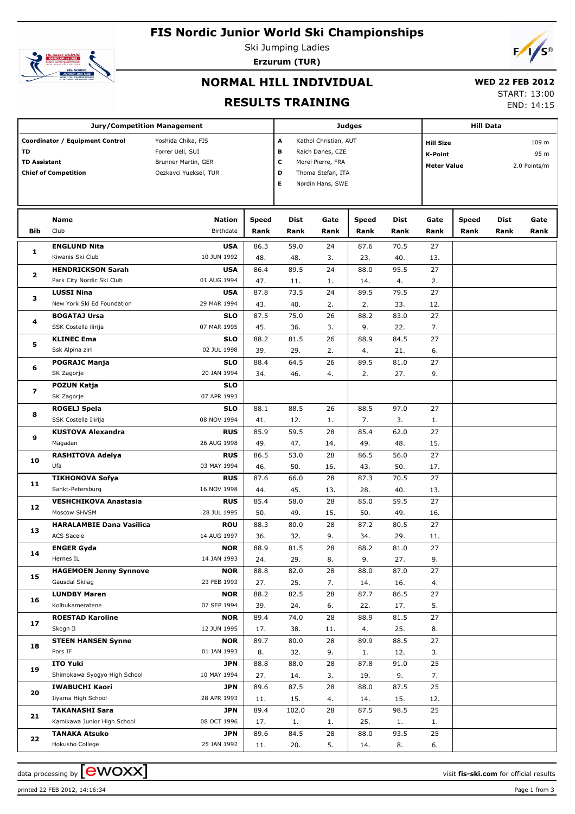## **FIS Nordic Junior World Ski Championships**



Ski Jumping Ladies **Erzurum (TUR)**



# **NORMAL HILL INDIVIDUAL**

#### **WED 22 FEB 2012**

**RESULTS TRAINING**

| LD <i>LL</i> i LD <i>L</i> V1 <i>l</i> |          |
|----------------------------------------|----------|
| <b>START: 13:00</b>                    |          |
|                                        | ---- --- |

END: 14:15

|                           | <b>Jury/Competition Management</b>                             |                                                                                        | <b>Hill Data</b> |                                                                                                                                                   |          |              |                                                          |          |              |                               |      |
|---------------------------|----------------------------------------------------------------|----------------------------------------------------------------------------------------|------------------|---------------------------------------------------------------------------------------------------------------------------------------------------|----------|--------------|----------------------------------------------------------|----------|--------------|-------------------------------|------|
| TD<br><b>TD Assistant</b> | Coordinator / Equipment Control<br><b>Chief of Competition</b> | Yoshida Chika, FIS<br>Forrer Ueli, SUI<br>Brunner Martin, GER<br>Oezkavci Yueksel, TUR |                  | <b>Judges</b><br>A<br>Kathol Christian, AUT<br>в<br>Raich Danes, CZE<br>c<br>Morel Pierre, FRA<br>D<br>Thoma Stefan, ITA<br>Е<br>Nordin Hans, SWE |          |              | <b>Hill Size</b><br><b>K-Point</b><br><b>Meter Value</b> |          |              | 109 m<br>95 m<br>2.0 Points/m |      |
|                           | Name<br>Club                                                   | <b>Nation</b>                                                                          | <b>Speed</b>     | Dist                                                                                                                                              | Gate     | <b>Speed</b> | <b>Dist</b>                                              | Gate     | <b>Speed</b> | <b>Dist</b>                   | Gate |
| Bib                       |                                                                | <b>Birthdate</b>                                                                       | Rank             | Rank                                                                                                                                              | Rank     | Rank         | Rank                                                     | Rank     | Rank         | Rank                          | Rank |
| 1                         | <b>ENGLUND Nita</b>                                            | <b>USA</b>                                                                             | 86.3             | 59.0                                                                                                                                              | 24       | 87.6         | 70.5                                                     | 27       |              |                               |      |
|                           | Kiwanis Ski Club                                               | 10 JUN 1992                                                                            | 48.              | 48.                                                                                                                                               | 3.       | 23.          | 40.                                                      | 13.      |              |                               |      |
| $\mathbf{2}$              | <b>HENDRICKSON Sarah</b>                                       | <b>USA</b>                                                                             | 86.4             | 89.5                                                                                                                                              | 24       | 88.0         | 95.5                                                     | 27       |              |                               |      |
|                           | Park City Nordic Ski Club                                      | 01 AUG 1994                                                                            | 47.              | 11.                                                                                                                                               | 1.       | 14.          | 4.                                                       | 2.       |              |                               |      |
| з                         | <b>LUSSI Nina</b>                                              | <b>USA</b>                                                                             | 87.8             | 73.5                                                                                                                                              | 24       | 89.5         | 79.5                                                     | 27       |              |                               |      |
|                           | New York Ski Ed Foundation                                     | 29 MAR 1994                                                                            | 43.              | 40.                                                                                                                                               | 2.       | 2.           | 33.                                                      | 12.      |              |                               |      |
| 4                         | <b>BOGATAJ Ursa</b><br>SSK Costella ilirija                    | <b>SLO</b><br>07 MAR 1995                                                              | 87.5             | 75.0                                                                                                                                              | 26       | 88.2         | 83.0                                                     | 27       |              |                               |      |
|                           |                                                                |                                                                                        | 45.              | 36.<br>81.5                                                                                                                                       | 3.<br>26 | 9.<br>88.9   | 22.<br>84.5                                              | 7.<br>27 |              |                               |      |
| 5                         | <b>KLINEC Ema</b><br>Ssk Alpina ziri                           | <b>SLO</b><br>02 JUL 1998                                                              | 88.2<br>39.      | 29.                                                                                                                                               | 2.       | 4.           | 21.                                                      | 6.       |              |                               |      |
|                           | <b>POGRAJC Manja</b>                                           | <b>SLO</b>                                                                             | 88.4             | 64.5                                                                                                                                              | 26       | 89.5         | 81.0                                                     | 27       |              |                               |      |
| 6                         | SK Zagorje                                                     | 20 JAN 1994                                                                            | 34.              | 46.                                                                                                                                               | 4.       | 2.           | 27.                                                      | 9.       |              |                               |      |
|                           | POZUN Katja                                                    | <b>SLO</b>                                                                             |                  |                                                                                                                                                   |          |              |                                                          |          |              |                               |      |
| $\overline{\mathbf{z}}$   | SK Zagorje                                                     | 07 APR 1993                                                                            |                  |                                                                                                                                                   |          |              |                                                          |          |              |                               |      |
|                           | ROGELJ Spela                                                   | <b>SLO</b>                                                                             | 88.1             | 88.5                                                                                                                                              | 26       | 88.5         | 97.0                                                     | 27       |              |                               |      |
| 8                         | SSK Costella Ilirija                                           | 08 NOV 1994                                                                            | 41.              | 12.                                                                                                                                               | 1.       | 7.           | 3.                                                       | 1.       |              |                               |      |
|                           | <b>KUSTOVA Alexandra</b>                                       | <b>RUS</b>                                                                             | 85.9             | 59.5                                                                                                                                              | 28       | 85.4         | 62.0                                                     | 27       |              |                               |      |
| 9                         | Magadan                                                        | 26 AUG 1998                                                                            | 49.              | 47.                                                                                                                                               | 14.      | 49.          | 48.                                                      | 15.      |              |                               |      |
|                           | <b>RASHITOVA Adelya</b>                                        | <b>RUS</b>                                                                             | 86.5             | 53.0                                                                                                                                              | 28       | 86.5         | 56.0                                                     | 27       |              |                               |      |
| 10                        | Ufa                                                            | 03 MAY 1994                                                                            | 46.              | 50.                                                                                                                                               | 16.      | 43.          | 50.                                                      | 17.      |              |                               |      |
|                           | <b>TIKHONOVA Sofya</b>                                         | <b>RUS</b>                                                                             | 87.6             | 66.0                                                                                                                                              | 28       | 87.3         | 70.5                                                     | 27       |              |                               |      |
| 11                        | Sankt-Petersburg                                               | 16 NOV 1998                                                                            | 44.              | 45.                                                                                                                                               | 13.      | 28.          | 40.                                                      | 13.      |              |                               |      |
|                           | <b>VESHCHIKOVA Anastasia</b>                                   | <b>RUS</b>                                                                             | 85.4             | 58.0                                                                                                                                              | 28       | 85.0         | 59.5                                                     | 27       |              |                               |      |
| 12                        | Moscow SHVSM                                                   | 28 JUL 1995                                                                            | 50.              | 49.                                                                                                                                               | 15.      | 50.          | 49.                                                      | 16.      |              |                               |      |
| 13                        | <b>HARALAMBIE Dana Vasilica</b>                                | <b>ROU</b>                                                                             | 88.3             | 80.0                                                                                                                                              | 28       | 87.2         | 80.5                                                     | 27       |              |                               |      |
|                           | ACS Sacele                                                     | 14 AUG 1997                                                                            | 36.              | 32.                                                                                                                                               | 9.       | 34.          | 29.                                                      | 11.      |              |                               |      |
| 14                        | <b>ENGER Gyda</b>                                              | <b>NOR</b>                                                                             | 88.9             | 81.5                                                                                                                                              | 28       | 88.2         | 81.0                                                     | 27       |              |                               |      |
|                           | Hernes IL                                                      | 14 JAN 1993                                                                            | 24.              | 29.                                                                                                                                               | 8.       | 9.           | 27.                                                      | 9.       |              |                               |      |
| 15                        | <b>HAGEMOEN Jenny Synnove</b>                                  | <b>NOR</b>                                                                             | 88.8             | 82.0                                                                                                                                              | 28       | 88.0         | 87.0                                                     | 27       |              |                               |      |
|                           | Gausdal Skilag                                                 | 23 FEB 1993                                                                            | 27.              | 25.                                                                                                                                               | 7.       | 14.          | 16.                                                      | 4.       |              |                               |      |
| 16                        | <b>LUNDBY Maren</b>                                            | <b>NOR</b>                                                                             | 88.2             | 82.5                                                                                                                                              | 28       | 87.7         | 86.5                                                     | 27       |              |                               |      |
|                           | Kolbukameratene                                                | 07 SEP 1994                                                                            | 39.              | 24.                                                                                                                                               | 6.       | 22.          | 17.                                                      | 5.       |              |                               |      |
| 17                        | <b>ROESTAD Karoline</b>                                        | <b>NOR</b>                                                                             | 89.4             | 74.0                                                                                                                                              | 28       | 88.9         | 81.5                                                     | 27       |              |                               |      |
|                           | Skogn Il                                                       | 12 JUN 1995                                                                            | 17.              | 38.                                                                                                                                               | 11.      | 4.           | 25.                                                      | 8.       |              |                               |      |
| 18                        | <b>STEEN HANSEN Synne</b><br>Pors IF                           | <b>NOR</b><br>01 JAN 1993                                                              | 89.7             | 80.0                                                                                                                                              | 28       | 89.9         | 88.5                                                     | 27       |              |                               |      |
|                           | <b>ITO Yuki</b>                                                | JPN                                                                                    | 8.<br>88.8       | 32.<br>88.0                                                                                                                                       | 9.<br>28 | 1.<br>87.8   | 12.<br>91.0                                              | 3.<br>25 |              |                               |      |
| 19                        | Shimokawa Syogyo High School                                   | 10 MAY 1994                                                                            | 27.              | 14.                                                                                                                                               | 3.       | 19.          | 9.                                                       | 7.       |              |                               |      |
|                           | <b>IWABUCHI Kaori</b>                                          | JPN                                                                                    | 89.6             | 87.5                                                                                                                                              | 28       | 88.0         | 87.5                                                     | 25       |              |                               |      |
| 20                        | Iiyama High School                                             | 28 APR 1993                                                                            | 11.              | 15.                                                                                                                                               | 4.       | 14.          | 15.                                                      | 12.      |              |                               |      |
|                           | <b>TAKANASHI Sara</b>                                          | JPN                                                                                    | 89.4             | 102.0                                                                                                                                             | 28       | 87.5         | 98.5                                                     | 25       |              |                               |      |
| 21                        | Kamikawa Junior High School                                    | 08 OCT 1996                                                                            | 17.              | 1.                                                                                                                                                | 1.       | 25.          | 1.                                                       | 1.       |              |                               |      |
|                           | <b>TANAKA Atsuko</b>                                           | JPN                                                                                    | 89.6             | 84.5                                                                                                                                              | 28       | 88.0         | 93.5                                                     | 25       |              |                               |      |
| 22                        | Hokusho College                                                | 25 JAN 1992                                                                            | 11.              | 20.                                                                                                                                               | 5.       | 14.          | 8.                                                       | 6.       |              |                               |      |

data processing by **CWOXX** and the visit fis-ski.com for official results

printed 22 FEB 2012, 14:16:34 Page 1 from 3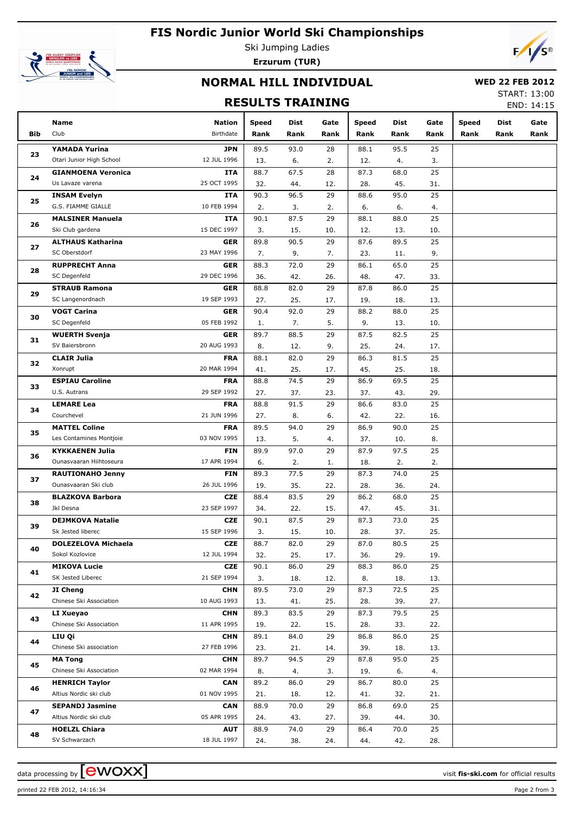# **FIS Nordic Junior World Ski Championships**



Ski Jumping Ladies **Erzurum (TUR)**



### **NORMAL HILL INDIVIDUAL**

#### **WED 22 FEB 2012**

### **RESULTS TRAINING**

START: 13:00 END: 14:15

|     | Name                                            | <b>Nation</b>             | <b>Speed</b> | Dist        | Gate      | <b>Speed</b> | Dist        | Gate      | <b>Speed</b> | Dist | Gate |
|-----|-------------------------------------------------|---------------------------|--------------|-------------|-----------|--------------|-------------|-----------|--------------|------|------|
| Bib | Club                                            | Birthdate                 | Rank         | Rank        | Rank      | Rank         | Rank        | Rank      | Rank         | Rank | Rank |
|     | YAMADA Yurina                                   | <b>JPN</b>                | 89.5         | 93.0        | 28        | 88.1         | 95.5        | 25        |              |      |      |
| 23  | Otari Junior High School                        | 12 JUL 1996               | 13.          | 6.          | 2.        | 12.          | 4.          | 3.        |              |      |      |
|     | <b>GIANMOENA Veronica</b>                       | ITA                       | 88.7         | 67.5        | 28        | 87.3         | 68.0        | 25        |              |      |      |
| 24  | Us Lavaze varena                                | 25 OCT 1995               | 32.          | 44.         | 12.       | 28.          | 45.         | 31.       |              |      |      |
|     | <b>INSAM Evelyn</b>                             | ITA                       | 90.3         | 96.5        | 29        | 88.6         | 95.0        | 25        |              |      |      |
| 25  | G.S. FIAMME GIALLE                              | 10 FEB 1994               | 2.           | 3.          | 2.        | 6.           | 6.          | 4.        |              |      |      |
| 26  | <b>MALSINER Manuela</b>                         | ITA                       | 90.1         | 87.5        | 29        | 88.1         | 88.0        | 25        |              |      |      |
|     | Ski Club gardena                                | 15 DEC 1997               | 3.           | 15.         | 10.       | 12.          | 13.         | 10.       |              |      |      |
| 27  | <b>ALTHAUS Katharina</b>                        | <b>GER</b>                | 89.8         | 90.5        | 29        | 87.6         | 89.5        | 25        |              |      |      |
|     | SC Oberstdorf                                   | 23 MAY 1996               | 7.           | 9.          | 7.        | 23.          | 11.         | 9.        |              |      |      |
| 28  | <b>RUPPRECHT Anna</b>                           | <b>GER</b>                | 88.3         | 72.0        | 29        | 86.1         | 65.0        | 25        |              |      |      |
|     | SC Degenfeld                                    | 29 DEC 1996               | 36.          | 42.         | 26.       | 48.          | 47.         | 33.       |              |      |      |
| 29  | <b>STRAUB Ramona</b>                            | <b>GER</b>                | 88.8         | 82.0        | 29        | 87.8         | 86.0        | 25        |              |      |      |
|     | SC Langenordnach                                | 19 SEP 1993               | 27.          | 25.         | 17.       | 19.          | 18.         | 13.       |              |      |      |
| 30  | <b>VOGT Carina</b>                              | <b>GER</b>                | 90.4         | 92.0        | 29        | 88.2         | 88.0        | 25        |              |      |      |
|     | SC Degenfeld                                    | 05 FEB 1992               | 1.           | 7.          | 5.        | 9.           | 13.         | 10.       |              |      |      |
| 31  | <b>WUERTH Svenja</b>                            | <b>GER</b>                | 89.7         | 88.5        | 29        | 87.5         | 82.5        | 25        |              |      |      |
|     | SV Baiersbronn                                  | 20 AUG 1993               | 8.           | 12.         | 9.        | 25.          | 24.         | 17.       |              |      |      |
| 32  | <b>CLAIR Julia</b>                              | <b>FRA</b>                | 88.1         | 82.0        | 29        | 86.3         | 81.5        | 25        |              |      |      |
|     | Xonrupt                                         | 20 MAR 1994               | 41.          | 25.         | 17.       | 45.          | 25.         | 18.       |              |      |      |
| 33  | <b>ESPIAU Caroline</b>                          | <b>FRA</b>                | 88.8         | 74.5        | 29        | 86.9         | 69.5        | 25        |              |      |      |
|     | U.S. Autrans                                    | 29 SEP 1992               | 27.          | 37.         | 23.       | 37.          | 43.         | 29.       |              |      |      |
| 34  | <b>LEMARE Lea</b>                               | <b>FRA</b>                | 88.8         | 91.5        | 29        | 86.6         | 83.0        | 25        |              |      |      |
|     | Courchevel                                      | 21 JUN 1996               | 27.          | 8.          | 6.        | 42.          | 22.         | 16.       |              |      |      |
| 35  | <b>MATTEL Coline</b>                            | <b>FRA</b>                | 89.5         | 94.0        | 29        | 86.9         | 90.0        | 25        |              |      |      |
|     | Les Contamines Montjoie                         | 03 NOV 1995               | 13.          | 5.          | 4.        | 37.          | 10.         | 8.        |              |      |      |
| 36  | <b>KYKKAENEN Julia</b>                          | <b>FIN</b>                | 89.9         | 97.0        | 29        | 87.9         | 97.5        | 25        |              |      |      |
|     | Ounasvaaran Hiihtoseura                         | 17 APR 1994               | 6.           | 2.          | 1.        | 18.          | 2.          | 2.        |              |      |      |
| 37  | <b>RAUTIONAHO Jenny</b><br>Ounasvaaran Ski club | <b>FIN</b><br>26 JUL 1996 | 89.3         | 77.5        | 29        | 87.3         | 74.0        | 25        |              |      |      |
|     |                                                 | <b>CZE</b>                | 19.<br>88.4  | 35.<br>83.5 | 22.<br>29 | 28.<br>86.2  | 36.<br>68.0 | 24.<br>25 |              |      |      |
| 38  | <b>BLAZKOVA Barbora</b><br>Jkl Desna            | 23 SEP 1997               |              | 22.         | 15.       | 47.          | 45.         | 31.       |              |      |      |
|     | <b>DEJMKOVA Natalie</b>                         | <b>CZE</b>                | 34.<br>90.1  | 87.5        | 29        | 87.3         | 73.0        | 25        |              |      |      |
| 39  | Sk Jested liberec                               | 15 SEP 1996               | 3.           | 15.         | 10.       | 28.          | 37.         | 25.       |              |      |      |
|     | <b>DOLEZELOVA Michaela</b>                      | <b>CZE</b>                | 88.7         | 82.0        | 29        | 87.0         | 80.5        | 25        |              |      |      |
| 40  | Sokol Kozlovice                                 | 12 JUL 1994               | 32.          | 25.         | 17.       | 36.          | 29.         | 19.       |              |      |      |
|     | <b>MIKOVA Lucie</b>                             | <b>CZE</b>                | 90.1         | 86.0        | 29        | 88.3         | 86.0        | 25        |              |      |      |
| 41  | SK Jested Liberec                               | 21 SEP 1994               | 3.           | 18.         | 12.       | 8.           | 18.         | 13.       |              |      |      |
|     | JI Cheng                                        | <b>CHN</b>                | 89.5         | 73.0        | 29        | 87.3         | 72.5        | 25        |              |      |      |
| 42  | Chinese Ski Association                         | 10 AUG 1993               | 13.          | 41.         | 25.       | 28.          | 39.         | 27.       |              |      |      |
|     | LI Xueyao                                       | <b>CHN</b>                | 89.3         | 83.5        | 29        | 87.3         | 79.5        | 25        |              |      |      |
| 43  | Chinese Ski Association                         | 11 APR 1995               | 19.          | 22.         | 15.       | 28.          | 33.         | 22.       |              |      |      |
|     | LIU Qi                                          | <b>CHN</b>                | 89.1         | 84.0        | 29        | 86.8         | 86.0        | 25        |              |      |      |
| 44  | Chinese Ski association                         | 27 FEB 1996               | 23.          | 21.         | 14.       | 39.          | 18.         | 13.       |              |      |      |
|     | <b>MA Tong</b>                                  | <b>CHN</b>                | 89.7         | 94.5        | 29        | 87.8         | 95.0        | 25        |              |      |      |
| 45  | Chinese Ski Association                         | 02 MAR 1994               | 8.           | 4.          | 3.        | 19.          | 6.          | 4.        |              |      |      |
|     | <b>HENRICH Taylor</b>                           | <b>CAN</b>                | 89.2         | 86.0        | 29        | 86.7         | 80.0        | 25        |              |      |      |
| 46  | Altius Nordic ski club                          | 01 NOV 1995               | 21.          | 18.         | 12.       | 41.          | 32.         | 21.       |              |      |      |
|     | <b>SEPANDJ Jasmine</b>                          | <b>CAN</b>                | 88.9         | 70.0        | 29        | 86.8         | 69.0        | 25        |              |      |      |
| 47  | Altius Nordic ski club                          | 05 APR 1995               | 24.          | 43.         | 27.       | 39.          | 44.         | 30.       |              |      |      |
|     | <b>HOELZL Chiara</b>                            | <b>AUT</b>                | 88.9         | 74.0        | 29        | 86.4         | 70.0        | 25        |              |      |      |
| 48  | SV Schwarzach                                   | 18 JUL 1997               | 24.          | 38.         | 24.       | 44.          | 42.         | 28.       |              |      |      |

printed 22 FEB 2012, 14:16:34 Page 2 from 3

data processing by **CWOXX** and  $\overline{C}$  and  $\overline{C}$  and  $\overline{C}$  and  $\overline{C}$  and  $\overline{C}$  and  $\overline{C}$  and  $\overline{C}$  and  $\overline{C}$  and  $\overline{C}$  and  $\overline{C}$  and  $\overline{C}$  and  $\overline{C}$  and  $\overline{C}$  and  $\overline{C}$  and  $\overline{C}$